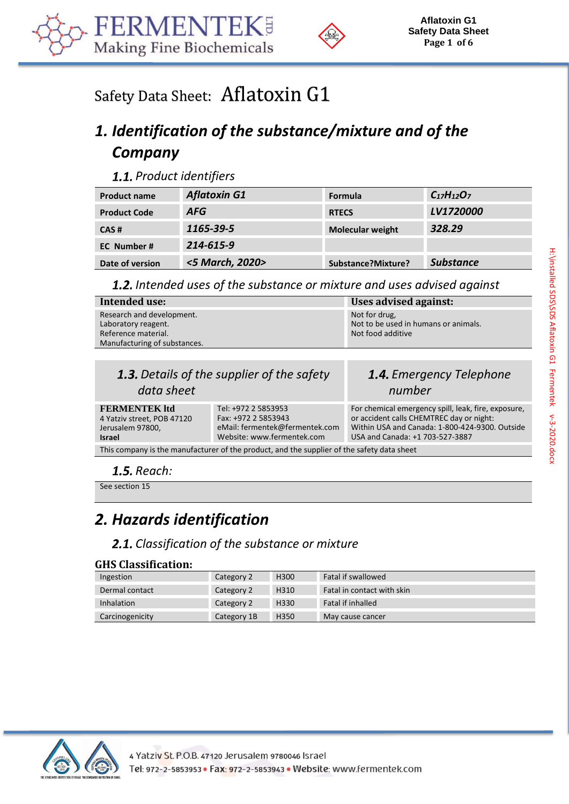



# Safety Data Sheet: Aflatoxin G1

# *1. Identification of the substance/mixture and of the Company*

**1.1.** Product identifiers

| <b>Product name</b> | <b>Aflatoxin G1</b> | <b>Formula</b>          | $C_{17}H_{12}O_7$ |
|---------------------|---------------------|-------------------------|-------------------|
| <b>Product Code</b> | <b>AFG</b>          | <b>RTECS</b>            | <b>LV1720000</b>  |
| CAS#                | 1165-39-5           | <b>Molecular weight</b> | 328.29            |
| EC Number#          | 214-615-9           |                         |                   |
| Date of version     | <5 March, 2020>     | Substance?Mixture?      | <b>Substance</b>  |

*Intended uses of the substance or mixture and uses advised against*

| Intended use:                                                                                           | Uses advised against:                                                      |
|---------------------------------------------------------------------------------------------------------|----------------------------------------------------------------------------|
| Research and development.<br>Laboratory reagent.<br>Reference material.<br>Manufacturing of substances. | Not for drug,<br>Not to be used in humans or animals.<br>Not food additive |
|                                                                                                         |                                                                            |
|                                                                                                         |                                                                            |

| <b>1.3.</b> Details of the supplier of the safety                                          |                                                                                                            | 1.4. Emergency Telephone                                                                                                                                                             |
|--------------------------------------------------------------------------------------------|------------------------------------------------------------------------------------------------------------|--------------------------------------------------------------------------------------------------------------------------------------------------------------------------------------|
| data sheet                                                                                 |                                                                                                            | number                                                                                                                                                                               |
| <b>FERMENTEK ltd</b><br>4 Yatziv street, POB 47120<br>Jerusalem 97800,<br><b>Israel</b>    | Tel: +972 2 5853953<br>Fax: +972 2 5853943<br>eMail: fermentek@fermentek.com<br>Website: www.fermentek.com | For chemical emergency spill, leak, fire, exposure,<br>or accident calls CHEMTREC day or night:<br>Within USA and Canada: 1-800-424-9300. Outside<br>USA and Canada: +1 703-527-3887 |
| This company is the manufacturer of the product, and the supplier of the safety data sheet |                                                                                                            |                                                                                                                                                                                      |

**1.5.** Reach:

See section 15

## *2. Hazards identification*

### *Classification of the substance or mixture*

#### **GHS Classification:**

| Ingestion         | Category 2  | H <sub>300</sub> | Fatal if swallowed         |
|-------------------|-------------|------------------|----------------------------|
| Dermal contact    | Category 2  | H310             | Fatal in contact with skin |
| <b>Inhalation</b> | Category 2  | H330             | Fatal if inhalled          |
| Carcinogenicity   | Category 1B | H350             | May cause cancer           |

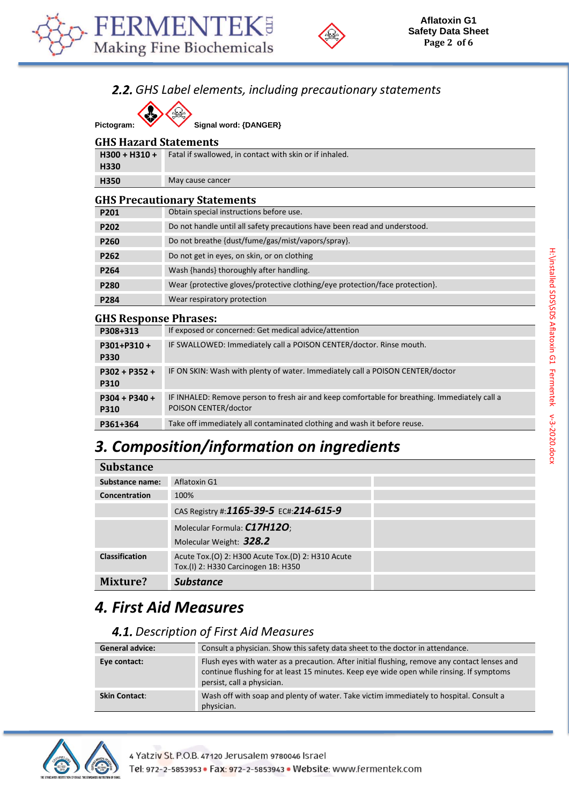



### *GHS Label elements, including precautionary statements*

Pictogram: **W** Signal word: {DANGER}

#### **GHS Hazard Statements**

| $H300 + H310 +$ | Fatal if swallowed, in contact with skin or if inhaled. |
|-----------------|---------------------------------------------------------|
| H330            |                                                         |
| H350            | May cause cancer                                        |
|                 | <b>GHS Precautionary Statements</b>                     |
| P201            | Obtain special instructions before use.                 |

| <b>FZUI</b>      | ODIANI SPECIAI MISLI UCLIONS DETOI E USE.                                    |
|------------------|------------------------------------------------------------------------------|
| P <sub>202</sub> | Do not handle until all safety precautions have been read and understood.    |
| P <sub>260</sub> | Do not breathe {dust/fume/gas/mist/vapors/spray}.                            |
| P <sub>262</sub> | Do not get in eyes, on skin, or on clothing                                  |
| P <sub>264</sub> | Wash {hands} thoroughly after handling.                                      |
| P <sub>280</sub> | Wear {protective gloves/protective clothing/eye protection/face protection}. |
| P <sub>284</sub> | Wear respiratory protection                                                  |

#### **GHS Response Phrases:**

| and Response I in ases.        |                                                                                                                       |
|--------------------------------|-----------------------------------------------------------------------------------------------------------------------|
| P308+313                       | If exposed or concerned: Get medical advice/attention                                                                 |
| P301+P310+<br><b>P330</b>      | IF SWALLOWED: Immediately call a POISON CENTER/doctor. Rinse mouth.                                                   |
| $P302 + P352 +$<br><b>P310</b> | IF ON SKIN: Wash with plenty of water. Immediately call a POISON CENTER/doctor                                        |
| P304 + P340 +<br><b>P310</b>   | IF INHALED: Remove person to fresh air and keep comfortable for breathing. Immediately call a<br>POISON CENTER/doctor |
| P361+364                       | Take off immediately all contaminated clothing and wash it before reuse.                                              |

#### *3. Composition/information on ingredients* **Substance**

| Supstance             |                                                                                          |  |
|-----------------------|------------------------------------------------------------------------------------------|--|
| Substance name:       | Aflatoxin G1                                                                             |  |
| Concentration         | 100%                                                                                     |  |
|                       | CAS Registry #:1165-39-5 EC#:214-615-9                                                   |  |
|                       | Molecular Formula: C17H12O;                                                              |  |
|                       | Molecular Weight: 328.2                                                                  |  |
| <b>Classification</b> | Acute Tox.(O) 2: H300 Acute Tox.(D) 2: H310 Acute<br>Tox.(I) 2: H330 Carcinogen 1B: H350 |  |
| Mixture?              | <b>Substance</b>                                                                         |  |

### *4. First Aid Measures*

### *Description of First Aid Measures*

| <b>General advice:</b> | Consult a physician. Show this safety data sheet to the doctor in attendance.                                                                                                                                          |
|------------------------|------------------------------------------------------------------------------------------------------------------------------------------------------------------------------------------------------------------------|
| Eye contact:           | Flush eyes with water as a precaution. After initial flushing, remove any contact lenses and<br>continue flushing for at least 15 minutes. Keep eye wide open while rinsing. If symptoms<br>persist, call a physician. |
| <b>Skin Contact:</b>   | Wash off with soap and plenty of water. Take victim immediately to hospital. Consult a<br>physician.                                                                                                                   |

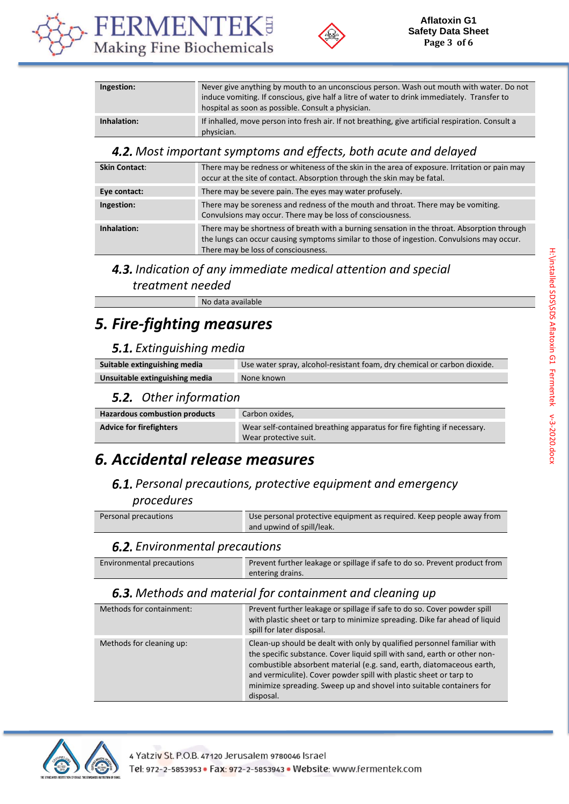



| Ingestion:  | Never give anything by mouth to an unconscious person. Wash out mouth with water. Do not<br>induce vomiting. If conscious, give half a litre of water to drink immediately. Transfer to<br>hospital as soon as possible. Consult a physician. |
|-------------|-----------------------------------------------------------------------------------------------------------------------------------------------------------------------------------------------------------------------------------------------|
| Inhalation: | If inhalled, move person into fresh air. If not breathing, give artificial respiration. Consult a<br>physician.                                                                                                                               |

#### *Most important symptoms and effects, both acute and delayed*

| <b>Skin Contact:</b> | There may be redness or whiteness of the skin in the area of exposure. Irritation or pain may<br>occur at the site of contact. Absorption through the skin may be fatal.                                                         |
|----------------------|----------------------------------------------------------------------------------------------------------------------------------------------------------------------------------------------------------------------------------|
| Eye contact:         | There may be severe pain. The eyes may water profusely.                                                                                                                                                                          |
| Ingestion:           | There may be soreness and redness of the mouth and throat. There may be vomiting.<br>Convulsions may occur. There may be loss of consciousness.                                                                                  |
| Inhalation:          | There may be shortness of breath with a burning sensation in the throat. Absorption through<br>the lungs can occur causing symptoms similar to those of ingestion. Convulsions may occur.<br>There may be loss of consciousness. |

# *Indication of any immediate medical attention and special*

#### *treatment needed*

No data available

### *5. Fire-fighting measures*

#### *Extinguishing media*

| Suitable extinguishing media   | Use water spray, alcohol-resistant foam, dry chemical or carbon dioxide. |
|--------------------------------|--------------------------------------------------------------------------|
| Unsuitable extinguishing media | None known                                                               |

#### *Other information*

| <b>Hazardous combustion products</b> | Carbon oxides,                                                                                   |
|--------------------------------------|--------------------------------------------------------------------------------------------------|
| <b>Advice for firefighters</b>       | Wear self-contained breathing apparatus for fire fighting if necessary.<br>Wear protective suit. |

### *6. Accidental release measures*

#### *Personal precautions, protective equipment and emergency procedures*

| Personal precautions | Use personal protective equipment as required. Keep people away from |
|----------------------|----------------------------------------------------------------------|
|                      | and upwind of spill/leak.                                            |

### *Environmental precautions*

| Environmental precautions | Prevent further leakage or spillage if safe to do so. Prevent product from |
|---------------------------|----------------------------------------------------------------------------|
|                           | entering drains.                                                           |

#### *Methods and material for containment and cleaning up*

| Methods for containment: | Prevent further leakage or spillage if safe to do so. Cover powder spill<br>with plastic sheet or tarp to minimize spreading. Dike far ahead of liquid<br>spill for later disposal.                                                                                                                                                                                                      |
|--------------------------|------------------------------------------------------------------------------------------------------------------------------------------------------------------------------------------------------------------------------------------------------------------------------------------------------------------------------------------------------------------------------------------|
| Methods for cleaning up: | Clean-up should be dealt with only by qualified personnel familiar with<br>the specific substance. Cover liquid spill with sand, earth or other non-<br>combustible absorbent material (e.g. sand, earth, diatomaceous earth,<br>and vermiculite). Cover powder spill with plastic sheet or tarp to<br>minimize spreading. Sweep up and shovel into suitable containers for<br>disposal. |

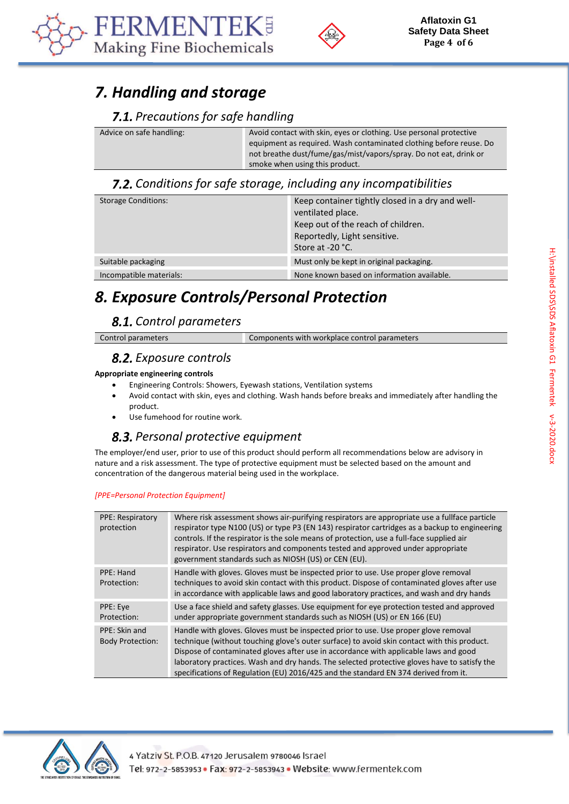



### *7. Handling and storage*

#### *Precautions for safe handling*

| Advice on safe handling: | Avoid contact with skin, eyes or clothing. Use personal protective<br>equipment as required. Wash contaminated clothing before reuse. Do<br>not breathe dust/fume/gas/mist/vapors/spray. Do not eat, drink or |
|--------------------------|---------------------------------------------------------------------------------------------------------------------------------------------------------------------------------------------------------------|
|                          | smoke when using this product.                                                                                                                                                                                |

#### *Conditions for safe storage, including any incompatibilities*

| <b>Storage Conditions:</b> | Keep container tightly closed in a dry and well-<br>ventilated place.<br>Keep out of the reach of children.<br>Reportedly, Light sensitive.<br>Store at -20 °C. |
|----------------------------|-----------------------------------------------------------------------------------------------------------------------------------------------------------------|
| Suitable packaging         | Must only be kept in original packaging.                                                                                                                        |
| Incompatible materials:    | None known based on information available.                                                                                                                      |

## *8. Exposure Controls/Personal Protection*

### *Control parameters*

| Control parameters | Components with workplace control parameters |
|--------------------|----------------------------------------------|

#### *Exposure controls*

#### **Appropriate engineering controls**

- Engineering Controls: Showers, Eyewash stations, Ventilation systems
- Avoid contact with skin, eyes and clothing. Wash hands before breaks and immediately after handling the product.
- Use fumehood for routine work.

### *Personal protective equipment*

The employer/end user, prior to use of this product should perform all recommendations below are advisory in nature and a risk assessment. The type of protective equipment must be selected based on the amount and concentration of the dangerous material being used in the workplace.

#### *[PPE=Personal Protection Equipment]*

| Where risk assessment shows air-purifying respirators are appropriate use a fullface particle<br>respirator type N100 (US) or type P3 (EN 143) respirator cartridges as a backup to engineering<br>controls. If the respirator is the sole means of protection, use a full-face supplied air<br>respirator. Use respirators and components tested and approved under appropriate<br>government standards such as NIOSH (US) or CEN (EU). |
|------------------------------------------------------------------------------------------------------------------------------------------------------------------------------------------------------------------------------------------------------------------------------------------------------------------------------------------------------------------------------------------------------------------------------------------|
| Handle with gloves. Gloves must be inspected prior to use. Use proper glove removal                                                                                                                                                                                                                                                                                                                                                      |
|                                                                                                                                                                                                                                                                                                                                                                                                                                          |
| techniques to avoid skin contact with this product. Dispose of contaminated gloves after use                                                                                                                                                                                                                                                                                                                                             |
| in accordance with applicable laws and good laboratory practices, and wash and dry hands                                                                                                                                                                                                                                                                                                                                                 |
| Use a face shield and safety glasses. Use equipment for eye protection tested and approved                                                                                                                                                                                                                                                                                                                                               |
|                                                                                                                                                                                                                                                                                                                                                                                                                                          |
| under appropriate government standards such as NIOSH (US) or EN 166 (EU)                                                                                                                                                                                                                                                                                                                                                                 |
| Handle with gloves. Gloves must be inspected prior to use. Use proper glove removal                                                                                                                                                                                                                                                                                                                                                      |
| technique (without touching glove's outer surface) to avoid skin contact with this product.                                                                                                                                                                                                                                                                                                                                              |
|                                                                                                                                                                                                                                                                                                                                                                                                                                          |
| Dispose of contaminated gloves after use in accordance with applicable laws and good                                                                                                                                                                                                                                                                                                                                                     |
| laboratory practices. Wash and dry hands. The selected protective gloves have to satisfy the                                                                                                                                                                                                                                                                                                                                             |
| specifications of Regulation (EU) 2016/425 and the standard EN 374 derived from it.                                                                                                                                                                                                                                                                                                                                                      |
|                                                                                                                                                                                                                                                                                                                                                                                                                                          |

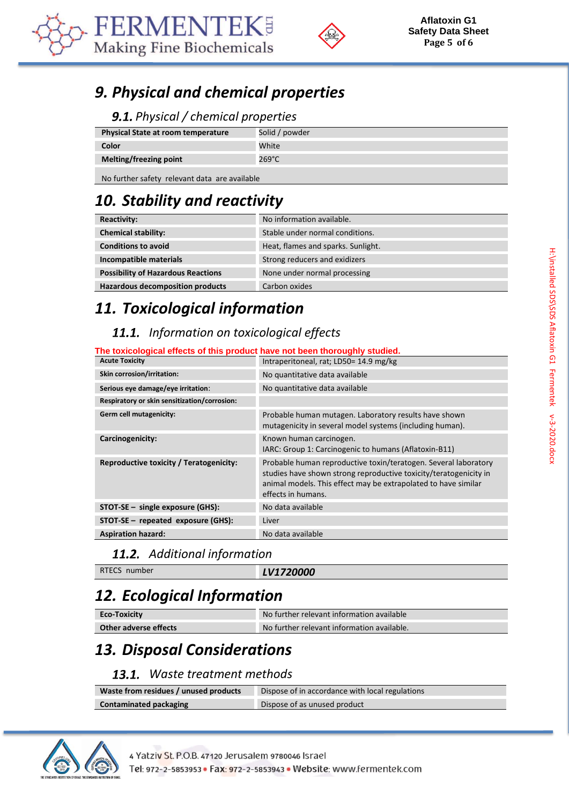



## *9. Physical and chemical properties*

#### *Physical / chemical properties*

| <b>Physical State at room temperature</b>                          | Solid / powder |
|--------------------------------------------------------------------|----------------|
| Color                                                              | White          |
| Melting/freezing point                                             | 269°C          |
| Alle Constitution of the constitution of the service of the little |                |

No further safety relevant data are available

# *10. Stability and reactivity*

| <b>Reactivity:</b>                        | No information available.          |
|-------------------------------------------|------------------------------------|
| <b>Chemical stability:</b>                | Stable under normal conditions.    |
| <b>Conditions to avoid</b>                | Heat, flames and sparks. Sunlight. |
| Incompatible materials                    | Strong reducers and exidizers      |
| <b>Possibility of Hazardous Reactions</b> | None under normal processing       |
| <b>Hazardous decomposition products</b>   | Carbon oxides                      |

## *11. Toxicological information*

### *Information on toxicological effects*

#### **The toxicological effects of this product have not been thoroughly studied.**

| <b>Acute Toxicity</b>                        | Intraperitoneal, rat; LD50= 14.9 mg/kg                                                                                                                                                                                       |
|----------------------------------------------|------------------------------------------------------------------------------------------------------------------------------------------------------------------------------------------------------------------------------|
| Skin corrosion/irritation:                   | No quantitative data available                                                                                                                                                                                               |
| Serious eye damage/eye irritation:           | No quantitative data available                                                                                                                                                                                               |
| Respiratory or skin sensitization/corrosion: |                                                                                                                                                                                                                              |
| Germ cell mutagenicity:                      | Probable human mutagen. Laboratory results have shown<br>mutagenicity in several model systems (including human).                                                                                                            |
| Carcinogenicity:                             | Known human carcinogen.<br>IARC: Group 1: Carcinogenic to humans (Aflatoxin-B11)                                                                                                                                             |
| Reproductive toxicity / Teratogenicity:      | Probable human reproductive toxin/teratogen. Several laboratory<br>studies have shown strong reproductive toxicity/teratogenicity in<br>animal models. This effect may be extrapolated to have similar<br>effects in humans. |
| STOT-SE - single exposure (GHS):             | No data available                                                                                                                                                                                                            |
| STOT-SE - repeated exposure (GHS):           | Liver                                                                                                                                                                                                                        |
| <b>Aspiration hazard:</b>                    | No data available                                                                                                                                                                                                            |

#### *Additional information*

RTECS number **LV1720000** 

## *12. Ecological Information*

| <b>Eco-Toxicity</b>   | No further relevant information available  |
|-----------------------|--------------------------------------------|
| Other adverse effects | No further relevant information available. |

### *13. Disposal Considerations*

#### *Waste treatment methods*

| Waste from residues / unused products | Dispose of in accordance with local regulations |
|---------------------------------------|-------------------------------------------------|
| <b>Contaminated packaging</b>         | Dispose of as unused product                    |